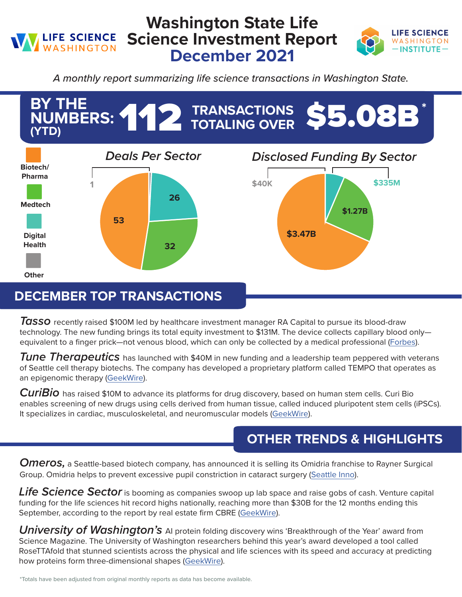## **Washington State Life Science Investment Report LIFE SCIENCE** WASHINGTON **December 2021**



*A monthly report summarizing life science transactions in Washington State.*



## **DECEMBER TOP TRANSACTIONS**

**Tasso** recently raised \$100M led by healthcare investment manager RA Capital to pursue its blood-draw technology. The new funding brings its total equity investment to \$131M. The device collects capillary blood onlyequivalent to a finger prick—not venous blood, which can only be collected by a medical professional [\(Forbes\)](https://www.forbes.com/sites/amyfeldman/2021/12/16/maker-of-home-blood-draw-kits-tasso-raises-100-million-led-by-ra-capital/?sh=664b6f914832).

*Tune Therapeutics* has launched with \$40M in new funding and a leadership team peppered with veterans of Seattle cell therapy biotechs. The company has developed a proprietary platform called TEMPO that operates as an epigenomic therapy [\(GeekWire\)](https://www.geekwire.com/2021/tune-therapeutics-launches-with-40m-in-funding-aims-to-fine-tune-activity-of-genes-in-cells/).

*CuriBio* has raised \$10M to advance its platforms for drug discovery, based on human stem cells. Curi Bio enables screening of new drugs using cells derived from human tissue, called induced pluripotent stem cells (iPSCs). It specializes in cardiac, musculoskeletal, and neuromuscular models ([GeekWire\)](https://www.geekwire.com/2021/curi-bio-raises-10m-for-stem-cell-based-drug-discovery-platforms/).

## **OTHER TRENDS & HIGHLIGHTS**

*Omeros,* a Seattle-based biotech company, has announced it is selling its Omidria franchise to Rayner Surgical Group. Omidria helps to prevent excessive pupil constriction in cataract surgery ([Seattle Inno](https://www.bizjournals.com/seattle/inno/stories/news/2021/12/02/omeros-selling-omidria-franchise.html)).

*Life Science Sector* is booming as companies swoop up lab space and raise gobs of cash. Venture capital funding for the life sciences hit record highs nationally, reaching more than \$30B for the 12 months ending this September, according to the report by real estate firm CBRE [\(GeekWire](https://www.geekwire.com/2021/report-life-sciences-sector-is-booming-as-companies-swoop-up-lab-space-and-raise-gobs-of-cash/)).

**University of Washington's** AI protein folding discovery wins 'Breakthrough of the Year' award from Science Magazine. The University of Washington researchers behind this year's award developed a tool called RoseTTAfold that stunned scientists across the physical and life sciences with its speed and accuracy at predicting how proteins form three-dimensional shapes [\(GeekWire\)](https://www.geekwire.com/2021/univ-of-washington-ai-protein-folding-discovery-wins-breakthrough-of-the-year-award-from-science/).